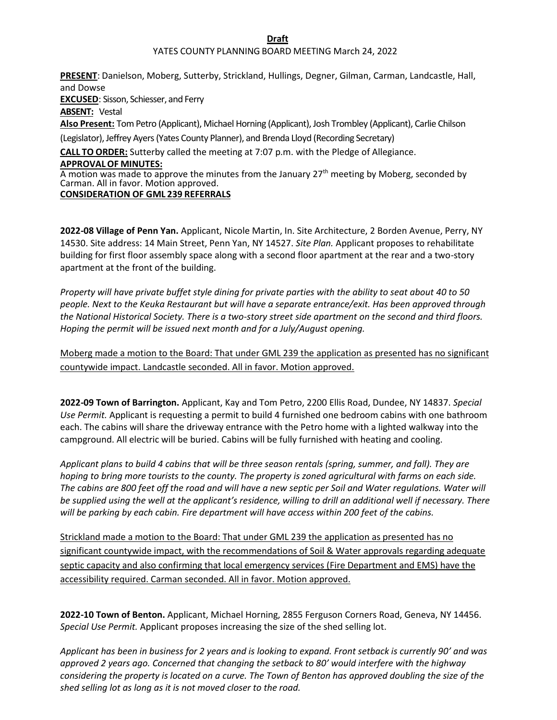**Draft**

## YATES COUNTY PLANNING BOARD MEETING March 24, 2022

**PRESENT**: Danielson, Moberg, Sutterby, Strickland, Hullings, Degner, Gilman, Carman, Landcastle, Hall, and Dowse **EXCUSED**: Sisson, Schiesser, and Ferry **ABSENT:** Vestal **Also Present:** Tom Petro (Applicant), Michael Horning (Applicant), Josh Trombley (Applicant), Carlie Chilson (Legislator), Jeffrey Ayers (Yates County Planner), and Brenda Lloyd (Recording Secretary) **CALL TO ORDER:** Sutterby called the meeting at 7:07 p.m. with the Pledge of Allegiance. **APPROVALOF MINUTES:** A motion was made to approve the minutes from the January  $27<sup>th</sup>$  meeting by Moberg, seconded by Carman. All in favor. Motion approved.

## **CONSIDERATION OF GML 239 REFERRALS**

**2022-08 Village of Penn Yan.** Applicant, Nicole Martin, In. Site Architecture, 2 Borden Avenue, Perry, NY 14530. Site address: 14 Main Street, Penn Yan, NY 14527. *Site Plan.* Applicant proposes to rehabilitate building for first floor assembly space along with a second floor apartment at the rear and a two-story apartment at the front of the building.

*Property will have private buffet style dining for private parties with the ability to seat about 40 to 50 people. Next to the Keuka Restaurant but will have a separate entrance/exit. Has been approved through the National Historical Society. There is a two-story street side apartment on the second and third floors. Hoping the permit will be issued next month and for a July/August opening.*

Moberg made a motion to the Board: That under GML 239 the application as presented has no significant countywide impact. Landcastle seconded. All in favor. Motion approved.

**2022-09 Town of Barrington.** Applicant, Kay and Tom Petro, 2200 Ellis Road, Dundee, NY 14837. *Special Use Permit.* Applicant is requesting a permit to build 4 furnished one bedroom cabins with one bathroom each. The cabins will share the driveway entrance with the Petro home with a lighted walkway into the campground. All electric will be buried. Cabins will be fully furnished with heating and cooling.

*Applicant plans to build 4 cabins that will be three season rentals (spring, summer, and fall). They are hoping to bring more tourists to the county. The property is zoned agricultural with farms on each side. The cabins are 800 feet off the road and will have a new septic per Soil and Water regulations. Water will be supplied using the well at the applicant's residence, willing to drill an additional well if necessary. There*  will be parking by each cabin. Fire department will have access within 200 feet of the cabins.

Strickland made a motion to the Board: That under GML 239 the application as presented has no significant countywide impact, with the recommendations of Soil & Water approvals regarding adequate septic capacity and also confirming that local emergency services (Fire Department and EMS) have the accessibility required. Carman seconded. All in favor. Motion approved.

**2022-10 Town of Benton.** Applicant, Michael Horning, 2855 Ferguson Corners Road, Geneva, NY 14456. *Special Use Permit.* Applicant proposes increasing the size of the shed selling lot.

*Applicant has been in business for 2 years and is looking to expand. Front setback is currently 90' and was approved 2 years ago. Concerned that changing the setback to 80' would interfere with the highway considering the property is located on a curve. The Town of Benton has approved doubling the size of the shed selling lot as long as it is not moved closer to the road.*